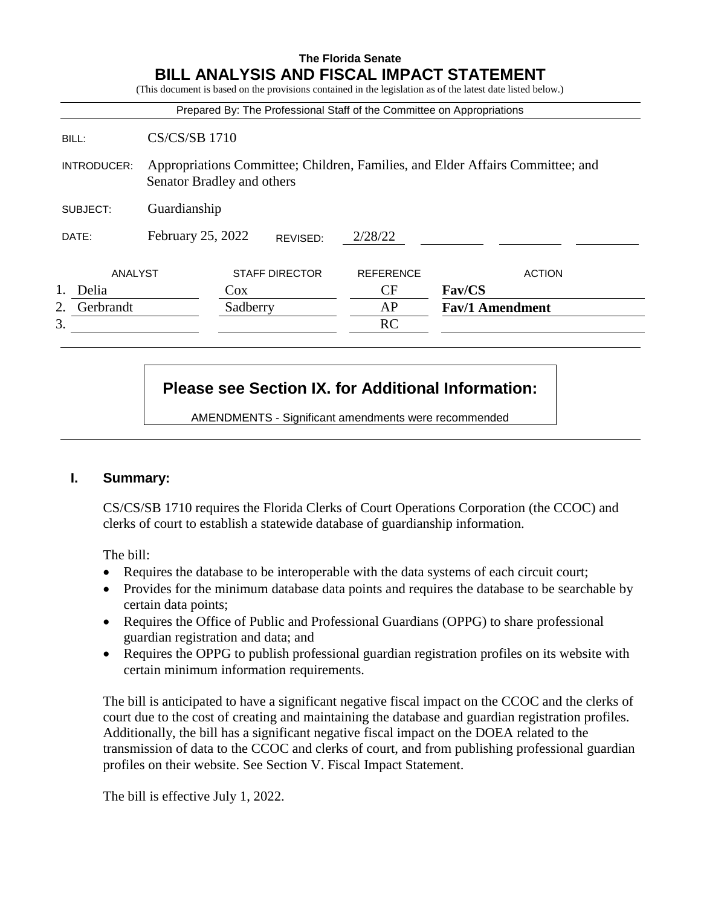# **The Florida Senate BILL ANALYSIS AND FISCAL IMPACT STATEMENT** (This document is based on the provisions contained in the legislation as of the latest date listed below.) Prepared By: The Professional Staff of the Committee on Appropriations BILL: CS/CS/SB 1710 INTRODUCER: Appropriations Committee; Children, Families, and Elder Affairs Committee; and Senator Bradley and others SUBJECT: Guardianship DATE: February 25, 2022 ANALYST STAFF DIRECTOR REFERENCE ACTION 1. Delia Cox Cox CF **Fav/CS** 2. Gerbrandt Sadberry AP **Fav/1 Amendment**  $3.$  RC REVISED: 2/28/22

# **Please see Section IX. for Additional Information:**

AMENDMENTS - Significant amendments were recommended

# **I. Summary:**

CS/CS/SB 1710 requires the Florida Clerks of Court Operations Corporation (the CCOC) and clerks of court to establish a statewide database of guardianship information.

The bill:

- Requires the database to be interoperable with the data systems of each circuit court;
- Provides for the minimum database data points and requires the database to be searchable by certain data points;
- Requires the Office of Public and Professional Guardians (OPPG) to share professional guardian registration and data; and
- Requires the OPPG to publish professional guardian registration profiles on its website with certain minimum information requirements.

The bill is anticipated to have a significant negative fiscal impact on the CCOC and the clerks of court due to the cost of creating and maintaining the database and guardian registration profiles. Additionally, the bill has a significant negative fiscal impact on the DOEA related to the transmission of data to the CCOC and clerks of court, and from publishing professional guardian profiles on their website. See Section V. Fiscal Impact Statement.

The bill is effective July 1, 2022.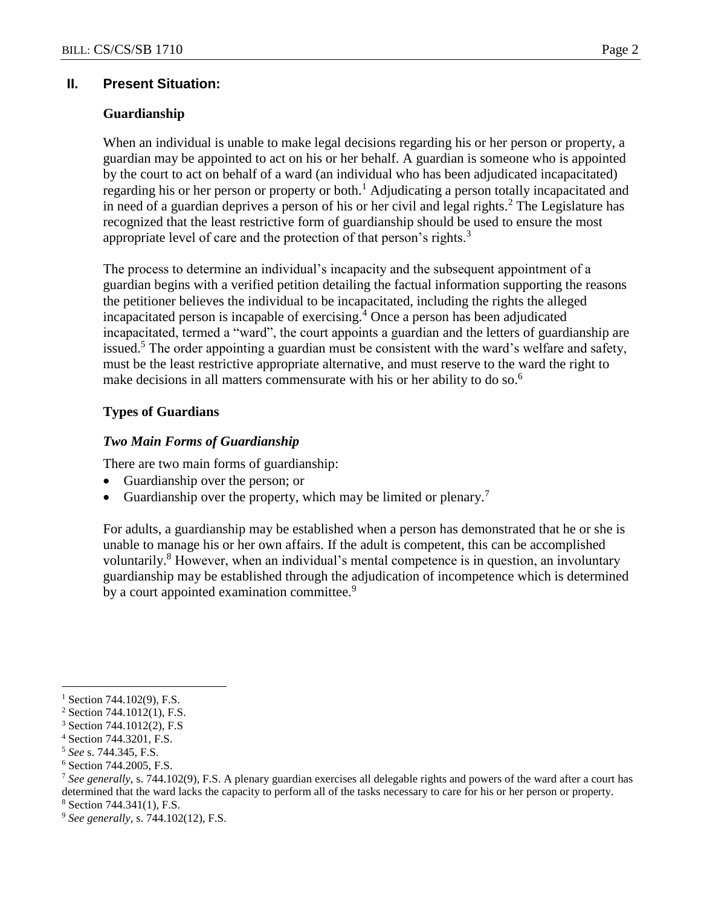# **II. Present Situation:**

#### **Guardianship**

When an individual is unable to make legal decisions regarding his or her person or property, a guardian may be appointed to act on his or her behalf. A guardian is someone who is appointed by the court to act on behalf of a ward (an individual who has been adjudicated incapacitated) regarding his or her person or property or both.<sup>1</sup> Adjudicating a person totally incapacitated and in need of a guardian deprives a person of his or her civil and legal rights.<sup>2</sup> The Legislature has recognized that the least restrictive form of guardianship should be used to ensure the most appropriate level of care and the protection of that person's rights.<sup>3</sup>

The process to determine an individual's incapacity and the subsequent appointment of a guardian begins with a verified petition detailing the factual information supporting the reasons the petitioner believes the individual to be incapacitated, including the rights the alleged incapacitated person is incapable of exercising.<sup>4</sup> Once a person has been adjudicated incapacitated, termed a "ward", the court appoints a guardian and the letters of guardianship are issued.<sup>5</sup> The order appointing a guardian must be consistent with the ward's welfare and safety, must be the least restrictive appropriate alternative, and must reserve to the ward the right to make decisions in all matters commensurate with his or her ability to do so.<sup>6</sup>

# **Types of Guardians**

#### *Two Main Forms of Guardianship*

There are two main forms of guardianship:

- Guardianship over the person; or
- Guardianship over the property, which may be limited or plenary.<sup>7</sup>

For adults, a guardianship may be established when a person has demonstrated that he or she is unable to manage his or her own affairs. If the adult is competent, this can be accomplished voluntarily.<sup>8</sup> However, when an individual's mental competence is in question, an involuntary guardianship may be established through the adjudication of incompetence which is determined by a court appointed examination committee.<sup>9</sup>

 $1$  Section 744.102(9), F.S.

<sup>2</sup> Section 744.1012(1), F.S.

<sup>3</sup> Section 744.1012(2), F.S

<sup>4</sup> Section 744.3201, F.S.

<sup>5</sup> *See* s. 744.345, F.S.

<sup>6</sup> Section 744.2005, F.S.

<sup>7</sup> *See generally,* s. 744.102(9), F.S. A plenary guardian exercises all delegable rights and powers of the ward after a court has determined that the ward lacks the capacity to perform all of the tasks necessary to care for his or her person or property.

<sup>8</sup> Section 744.341(1), F.S.

<sup>9</sup> *See generally,* s. 744.102(12), F.S.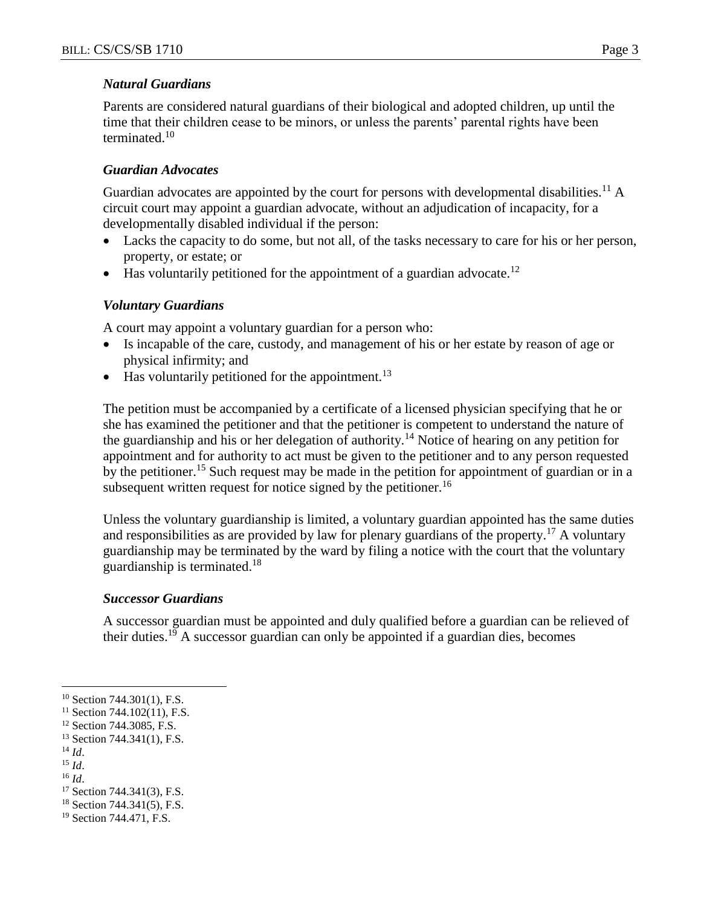#### *Natural Guardians*

Parents are considered natural guardians of their biological and adopted children, up until the time that their children cease to be minors, or unless the parents' parental rights have been terminated.<sup>10</sup>

#### *Guardian Advocates*

Guardian advocates are appointed by the court for persons with developmental disabilities.<sup>11</sup> A circuit court may appoint a guardian advocate, without an adjudication of incapacity, for a developmentally disabled individual if the person:

- Lacks the capacity to do some, but not all, of the tasks necessary to care for his or her person, property, or estate; or
- $\bullet$  Has voluntarily petitioned for the appointment of a guardian advocate.<sup>12</sup>

#### *Voluntary Guardians*

A court may appoint a voluntary guardian for a person who:

- Is incapable of the care, custody, and management of his or her estate by reason of age or physical infirmity; and
- $\bullet$  Has voluntarily petitioned for the appointment.<sup>13</sup>

The petition must be accompanied by a certificate of a licensed physician specifying that he or she has examined the petitioner and that the petitioner is competent to understand the nature of the guardianship and his or her delegation of authority.<sup>14</sup> Notice of hearing on any petition for appointment and for authority to act must be given to the petitioner and to any person requested by the petitioner.<sup>15</sup> Such request may be made in the petition for appointment of guardian or in a subsequent written request for notice signed by the petitioner.<sup>16</sup>

Unless the voluntary guardianship is limited, a voluntary guardian appointed has the same duties and responsibilities as are provided by law for plenary guardians of the property.<sup>17</sup> A voluntary guardianship may be terminated by the ward by filing a notice with the court that the voluntary guardianship is terminated.<sup>18</sup>

# *Successor Guardians*

A successor guardian must be appointed and duly qualified before a guardian can be relieved of their duties.<sup>19</sup> A successor guardian can only be appointed if a guardian dies, becomes

 $\overline{a}$ 

<sup>15</sup> *Id*.

<sup>&</sup>lt;sup>10</sup> Section 744.301(1), F.S.

 $11$  Section 744.102(11), F.S.

<sup>&</sup>lt;sup>12</sup> Section 744.3085, F.S.

<sup>&</sup>lt;sup>13</sup> Section 744.341(1), F.S.

<sup>14</sup> *Id*.

<sup>16</sup> *Id*.

<sup>17</sup> Section 744.341(3), F.S.

<sup>18</sup> Section 744.341(5), F.S.

<sup>19</sup> Section 744.471, F.S.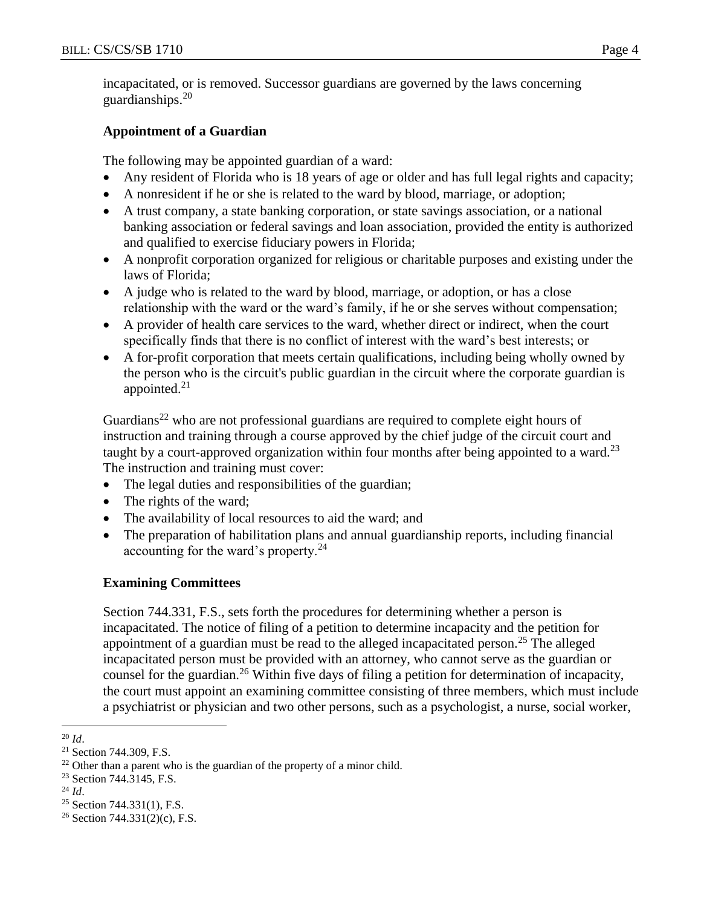incapacitated, or is removed. Successor guardians are governed by the laws concerning guardianships. $20$ 

# **Appointment of a Guardian**

The following may be appointed guardian of a ward:

- Any resident of Florida who is 18 years of age or older and has full legal rights and capacity;
- A nonresident if he or she is related to the ward by blood, marriage, or adoption;
- A trust company, a state banking corporation, or state savings association, or a national banking association or federal savings and loan association, provided the entity is authorized and qualified to exercise fiduciary powers in Florida;
- A nonprofit corporation organized for religious or charitable purposes and existing under the laws of Florida;
- A judge who is related to the ward by blood, marriage, or adoption, or has a close relationship with the ward or the ward's family, if he or she serves without compensation;
- A provider of health care services to the ward, whether direct or indirect, when the court specifically finds that there is no conflict of interest with the ward's best interests; or
- A for-profit corporation that meets certain qualifications, including being wholly owned by the person who is the circuit's public guardian in the circuit where the corporate guardian is appointed. $21$

Guardians<sup>22</sup> who are not professional guardians are required to complete eight hours of instruction and training through a course approved by the chief judge of the circuit court and taught by a court-approved organization within four months after being appointed to a ward.<sup>23</sup> The instruction and training must cover:

- The legal duties and responsibilities of the guardian;
- The rights of the ward;
- The availability of local resources to aid the ward; and
- The preparation of habilitation plans and annual guardianship reports, including financial accounting for the ward's property. $^{24}$

# **Examining Committees**

Section 744.331, F.S., sets forth the procedures for determining whether a person is incapacitated. The notice of filing of a petition to determine incapacity and the petition for appointment of a guardian must be read to the alleged incapacitated person.<sup>25</sup> The alleged incapacitated person must be provided with an attorney, who cannot serve as the guardian or counsel for the guardian.<sup>26</sup> Within five days of filing a petition for determination of incapacity, the court must appoint an examining committee consisting of three members, which must include a psychiatrist or physician and two other persons, such as a psychologist, a nurse, social worker,

 $25$  Section 744.331(1), F.S.

 $\overline{a}$ <sup>20</sup> *Id*.

<sup>21</sup> Section 744.309, F.S.

 $22$  Other than a parent who is the guardian of the property of a minor child.

<sup>23</sup> Section 744.3145, F.S.

<sup>24</sup> *Id*.

<sup>&</sup>lt;sup>26</sup> Section 744.331(2)(c), F.S.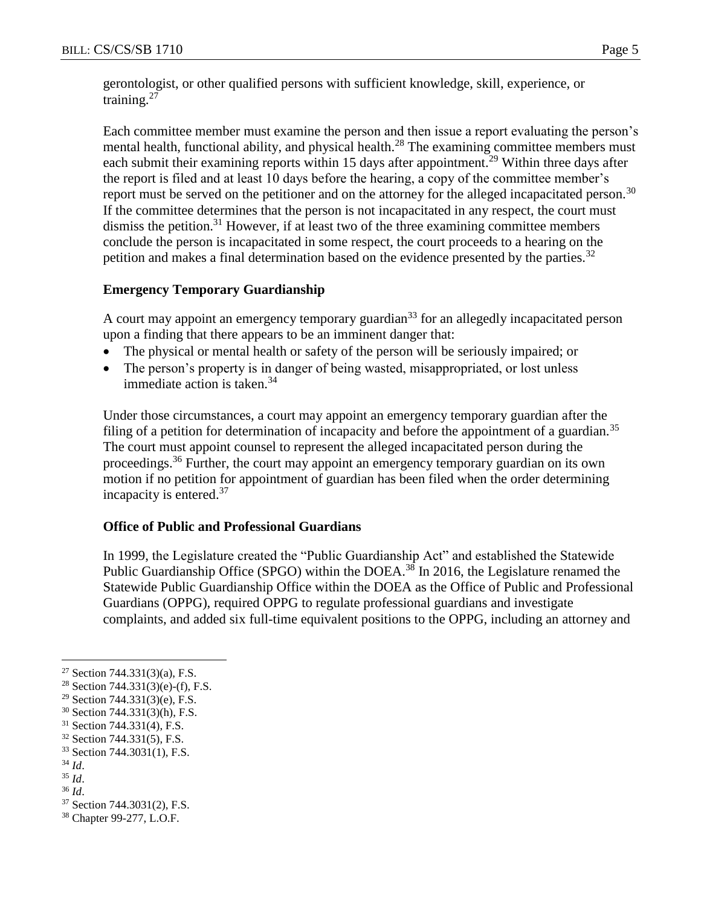gerontologist, or other qualified persons with sufficient knowledge, skill, experience, or training.<sup>27</sup>

Each committee member must examine the person and then issue a report evaluating the person's mental health, functional ability, and physical health.<sup>28</sup> The examining committee members must each submit their examining reports within 15 days after appointment.<sup>29</sup> Within three days after the report is filed and at least 10 days before the hearing, a copy of the committee member's report must be served on the petitioner and on the attorney for the alleged incapacitated person.<sup>30</sup> If the committee determines that the person is not incapacitated in any respect, the court must dismiss the petition.<sup>31</sup> However, if at least two of the three examining committee members conclude the person is incapacitated in some respect, the court proceeds to a hearing on the petition and makes a final determination based on the evidence presented by the parties.<sup>32</sup>

#### **Emergency Temporary Guardianship**

A court may appoint an emergency temporary guardian<sup>33</sup> for an allegedly incapacitated person upon a finding that there appears to be an imminent danger that:

- The physical or mental health or safety of the person will be seriously impaired; or
- The person's property is in danger of being wasted, misappropriated, or lost unless immediate action is taken. $34$

Under those circumstances, a court may appoint an emergency temporary guardian after the filing of a petition for determination of incapacity and before the appointment of a guardian.<sup>35</sup> The court must appoint counsel to represent the alleged incapacitated person during the proceedings.<sup>36</sup> Further, the court may appoint an emergency temporary guardian on its own motion if no petition for appointment of guardian has been filed when the order determining incapacity is entered.<sup>37</sup>

#### **Office of Public and Professional Guardians**

In 1999, the Legislature created the "Public Guardianship Act" and established the Statewide Public Guardianship Office (SPGO) within the DOEA.<sup>38</sup> In 2016, the Legislature renamed the Statewide Public Guardianship Office within the DOEA as the Office of Public and Professional Guardians (OPPG), required OPPG to regulate professional guardians and investigate complaints, and added six full-time equivalent positions to the OPPG, including an attorney and

<sup>&</sup>lt;sup>27</sup> Section 744.331(3)(a), F.S.

<sup>&</sup>lt;sup>28</sup> Section 744.331(3)(e)-(f), F.S.

<sup>29</sup> Section 744.331(3)(e), F.S.

<sup>30</sup> Section 744.331(3)(h), F.S.

<sup>31</sup> Section 744.331(4), F.S.

<sup>32</sup> Section 744.331(5), F.S.

<sup>33</sup> Section 744.3031(1), F.S.

<sup>34</sup> *Id*.

<sup>35</sup> *Id*.

<sup>36</sup> *Id*.

<sup>37</sup> Section 744.3031(2), F.S.

<sup>38</sup> Chapter 99-277, L.O.F.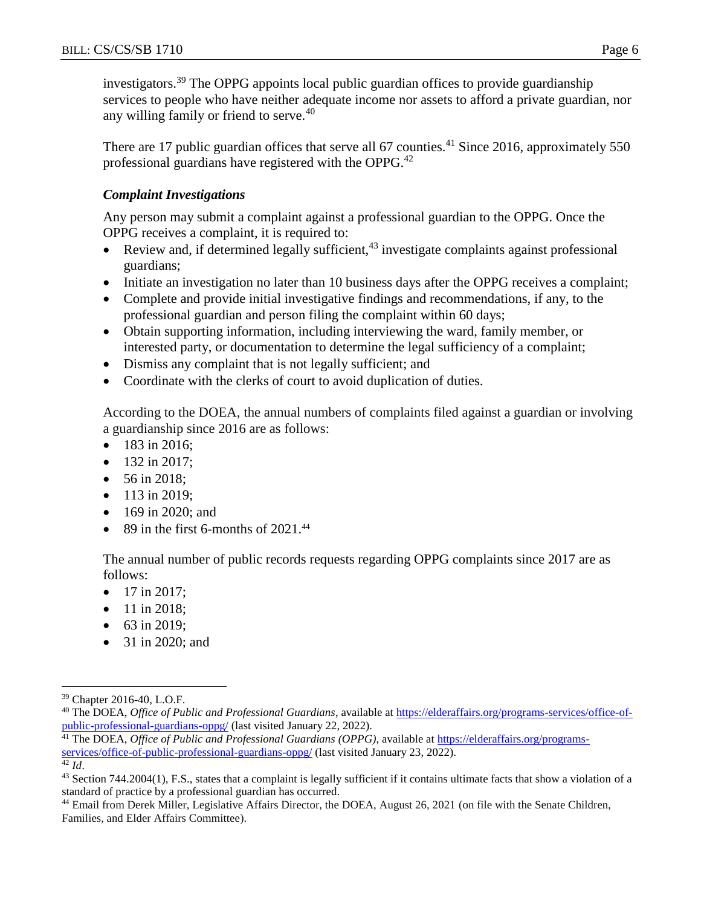investigators.<sup>39</sup> The OPPG appoints local public guardian offices to provide guardianship services to people who have neither adequate income nor assets to afford a private guardian, nor any willing family or friend to serve.<sup>40</sup>

There are 17 public guardian offices that serve all 67 counties.<sup>41</sup> Since 2016, approximately 550 professional guardians have registered with the OPPG.<sup>42</sup>

# *Complaint Investigations*

Any person may submit a complaint against a professional guardian to the OPPG. Once the OPPG receives a complaint, it is required to:

- Review and, if determined legally sufficient,  $43$  investigate complaints against professional guardians;
- Initiate an investigation no later than 10 business days after the OPPG receives a complaint;
- Complete and provide initial investigative findings and recommendations, if any, to the professional guardian and person filing the complaint within 60 days;
- Obtain supporting information, including interviewing the ward, family member, or interested party, or documentation to determine the legal sufficiency of a complaint;
- Dismiss any complaint that is not legally sufficient; and
- Coordinate with the clerks of court to avoid duplication of duties.

According to the DOEA, the annual numbers of complaints filed against a guardian or involving a guardianship since 2016 are as follows:

- 183 in 2016;
- $\bullet$  132 in 2017:
- 56 in 2018;
- $113$  in 2019:
- 169 in 2020; and
- $\bullet$  89 in the first 6-months of 2021.<sup>44</sup>

The annual number of public records requests regarding OPPG complaints since 2017 are as follows:

- $\bullet$  17 in 2017;
- 11 in 2018;
- 63 in 2019;
- 31 in 2020; and

<sup>42</sup> *Id*.

 $\overline{a}$ <sup>39</sup> Chapter 2016-40, L.O.F.

<sup>40</sup> The DOEA, *Office of Public and Professional Guardians*, available at [https://elderaffairs.org/programs-services/office-of](https://elderaffairs.org/programs-services/office-of-public-professional-guardians-oppg/)[public-professional-guardians-oppg/](https://elderaffairs.org/programs-services/office-of-public-professional-guardians-oppg/) (last visited January 22, 2022).

<sup>41</sup> The DOEA, *Office of Public and Professional Guardians (OPPG)*, available at [https://elderaffairs.org/programs](https://elderaffairs.org/programs-services/office-of-public-professional-guardians-oppg/)[services/office-of-public-professional-guardians-oppg/](https://elderaffairs.org/programs-services/office-of-public-professional-guardians-oppg/) (last visited January 23, 2022).

<sup>43</sup> Section 744.2004(1), F.S., states that a complaint is legally sufficient if it contains ultimate facts that show a violation of a standard of practice by a professional guardian has occurred.

<sup>44</sup> Email from Derek Miller, Legislative Affairs Director, the DOEA, August 26, 2021 (on file with the Senate Children, Families, and Elder Affairs Committee).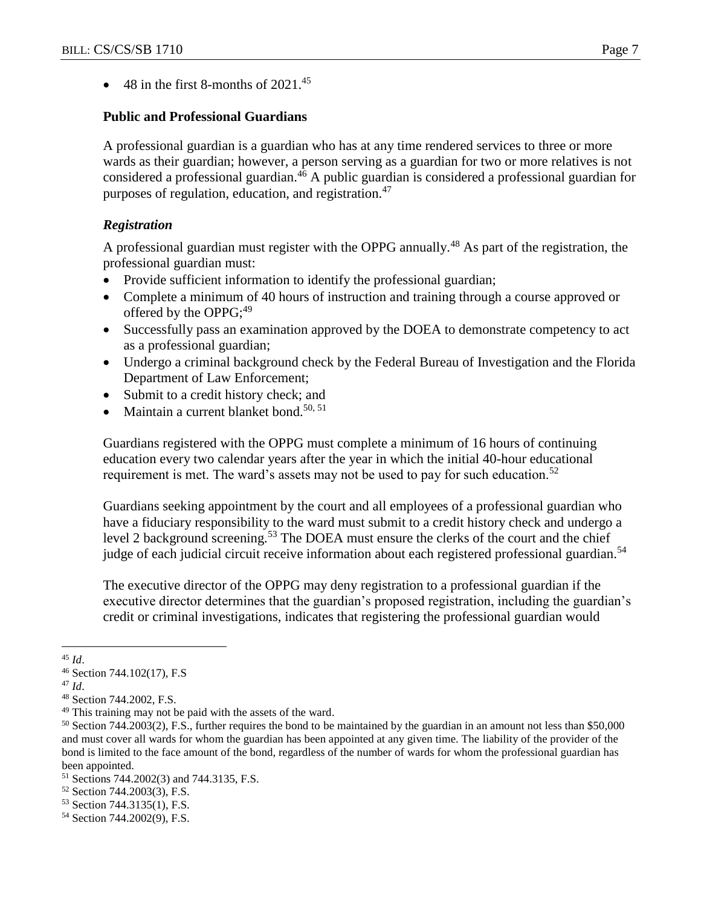$\bullet$  48 in the first 8-months of 2021.<sup>45</sup>

# **Public and Professional Guardians**

A professional guardian is a guardian who has at any time rendered services to three or more wards as their guardian; however, a person serving as a guardian for two or more relatives is not considered a professional guardian.<sup>46</sup> A public guardian is considered a professional guardian for purposes of regulation, education, and registration.<sup>47</sup>

# *Registration*

A professional guardian must register with the OPPG annually.<sup>48</sup> As part of the registration, the professional guardian must:

- Provide sufficient information to identify the professional guardian;
- Complete a minimum of 40 hours of instruction and training through a course approved or offered by the OPPG; $^{49}$
- Successfully pass an examination approved by the DOEA to demonstrate competency to act as a professional guardian;
- Undergo a criminal background check by the Federal Bureau of Investigation and the Florida Department of Law Enforcement;
- Submit to a credit history check; and
- Maintain a current blanket bond.<sup>50, 51</sup>

Guardians registered with the OPPG must complete a minimum of 16 hours of continuing education every two calendar years after the year in which the initial 40-hour educational requirement is met. The ward's assets may not be used to pay for such education.<sup>52</sup>

Guardians seeking appointment by the court and all employees of a professional guardian who have a fiduciary responsibility to the ward must submit to a credit history check and undergo a level 2 background screening.<sup>53</sup> The DOEA must ensure the clerks of the court and the chief judge of each judicial circuit receive information about each registered professional guardian.<sup>54</sup>

The executive director of the OPPG may deny registration to a professional guardian if the executive director determines that the guardian's proposed registration, including the guardian's credit or criminal investigations, indicates that registering the professional guardian would

 $\overline{a}$ <sup>45</sup> *Id*.

<sup>46</sup> Section 744.102(17), F.S

<sup>47</sup> *Id*.

<sup>48</sup> Section 744.2002, F.S.

<sup>&</sup>lt;sup>49</sup> This training may not be paid with the assets of the ward.

<sup>50</sup> Section 744.2003(2), F.S., further requires the bond to be maintained by the guardian in an amount not less than \$50,000 and must cover all wards for whom the guardian has been appointed at any given time. The liability of the provider of the bond is limited to the face amount of the bond, regardless of the number of wards for whom the professional guardian has been appointed.

<sup>51</sup> Sections 744.2002(3) and 744.3135, F.S.

<sup>52</sup> Section 744.2003(3), F.S.

<sup>53</sup> Section 744.3135(1), F.S.

<sup>54</sup> Section 744.2002(9), F.S.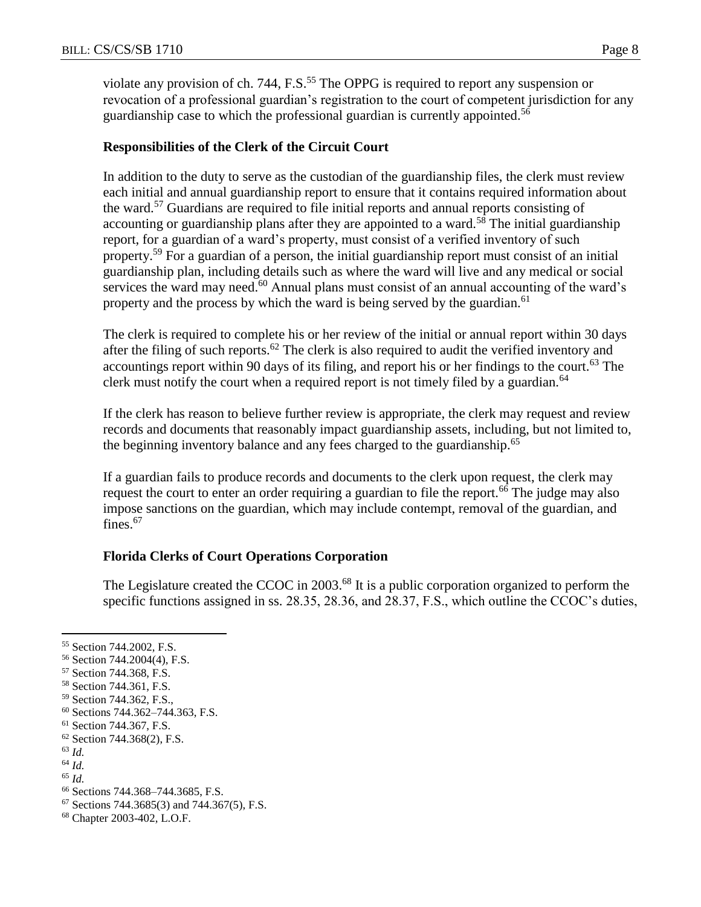violate any provision of ch. 744, F.S.<sup>55</sup> The OPPG is required to report any suspension or revocation of a professional guardian's registration to the court of competent jurisdiction for any guardianship case to which the professional guardian is currently appointed.<sup>56</sup>

# **Responsibilities of the Clerk of the Circuit Court**

In addition to the duty to serve as the custodian of the guardianship files, the clerk must review each initial and annual guardianship report to ensure that it contains required information about the ward.<sup>57</sup> Guardians are required to file initial reports and annual reports consisting of accounting or guardianship plans after they are appointed to a ward.<sup>58</sup> The initial guardianship report, for a guardian of a ward's property, must consist of a verified inventory of such property.<sup>59</sup> For a guardian of a person, the initial guardianship report must consist of an initial guardianship plan, including details such as where the ward will live and any medical or social services the ward may need. $60$  Annual plans must consist of an annual accounting of the ward's property and the process by which the ward is being served by the guardian.<sup>61</sup>

The clerk is required to complete his or her review of the initial or annual report within 30 days after the filing of such reports.<sup>62</sup> The clerk is also required to audit the verified inventory and accountings report within 90 days of its filing, and report his or her findings to the court.<sup>63</sup> The clerk must notify the court when a required report is not timely filed by a guardian.<sup>64</sup>

If the clerk has reason to believe further review is appropriate, the clerk may request and review records and documents that reasonably impact guardianship assets, including, but not limited to, the beginning inventory balance and any fees charged to the guardianship.<sup>65</sup>

If a guardian fails to produce records and documents to the clerk upon request, the clerk may request the court to enter an order requiring a guardian to file the report.<sup>66</sup> The judge may also impose sanctions on the guardian, which may include contempt, removal of the guardian, and fines.<sup>67</sup>

# **Florida Clerks of Court Operations Corporation**

The Legislature created the CCOC in 2003.<sup>68</sup> It is a public corporation organized to perform the specific functions assigned in ss. 28.35, 28.36, and 28.37, F.S., which outline the CCOC's duties,

<sup>63</sup> *Id.*

 $\overline{a}$ 

<sup>68</sup> Chapter 2003-402, L.O.F.

<sup>55</sup> Section 744.2002, F.S.

<sup>56</sup> Section 744.2004(4), F.S.

<sup>57</sup> Section 744.368, F.S.

<sup>58</sup> Section 744.361, F.S.

<sup>59</sup> Section 744.362, F.S.,

<sup>60</sup> Sections 744.362–744.363, F.S.

<sup>61</sup> Section 744.367, F.S.

<sup>62</sup> Section 744.368(2), F.S.

<sup>64</sup> *Id.*

<sup>65</sup> *Id.*

<sup>66</sup> Sections 744.368–744.3685, F.S.

 $67$  Sections 744.3685(3) and 744.367(5), F.S.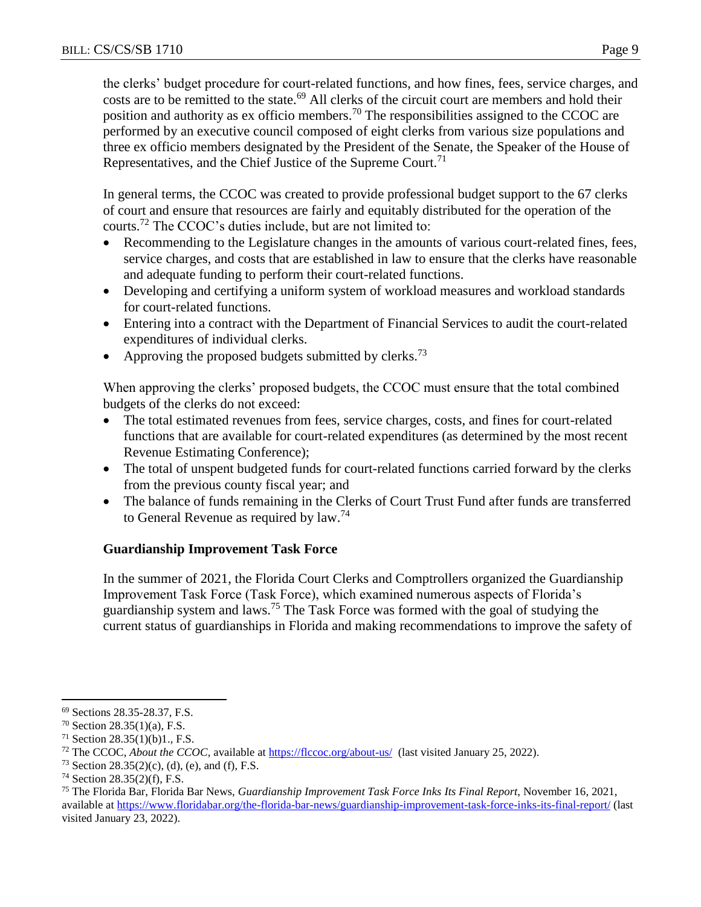the clerks' budget procedure for court-related functions, and how fines, fees, service charges, and costs are to be remitted to the state.<sup>69</sup> All clerks of the circuit court are members and hold their position and authority as ex officio members.<sup>70</sup> The responsibilities assigned to the CCOC are performed by an executive council composed of eight clerks from various size populations and three ex officio members designated by the President of the Senate, the Speaker of the House of Representatives, and the Chief Justice of the Supreme Court.<sup>71</sup>

In general terms, the CCOC was created to provide professional budget support to the 67 clerks of court and ensure that resources are fairly and equitably distributed for the operation of the courts.<sup>72</sup> The CCOC's duties include, but are not limited to:

- Recommending to the Legislature changes in the amounts of various court-related fines, fees, service charges, and costs that are established in law to ensure that the clerks have reasonable and adequate funding to perform their court-related functions.
- Developing and certifying a uniform system of workload measures and workload standards for court-related functions.
- Entering into a contract with the Department of Financial Services to audit the court-related expenditures of individual clerks.
- Approving the proposed budgets submitted by clerks.<sup>73</sup>

When approving the clerks' proposed budgets, the CCOC must ensure that the total combined budgets of the clerks do not exceed:

- The total estimated revenues from fees, service charges, costs, and fines for court-related functions that are available for court-related expenditures (as determined by the most recent Revenue Estimating Conference);
- The total of unspent budgeted funds for court-related functions carried forward by the clerks from the previous county fiscal year; and
- The balance of funds remaining in the Clerks of Court Trust Fund after funds are transferred to General Revenue as required by law.<sup>74</sup>

# **Guardianship Improvement Task Force**

In the summer of 2021, the Florida Court Clerks and Comptrollers organized the Guardianship Improvement Task Force (Task Force), which examined numerous aspects of Florida's guardianship system and laws.<sup>75</sup> The Task Force was formed with the goal of studying the current status of guardianships in Florida and making recommendations to improve the safety of

<sup>69</sup> Sections 28.35-28.37, F.S.

<sup>70</sup> Section 28.35(1)(a), F.S.

<sup>71</sup> Section 28.35(1)(b)1., F.S.

<sup>72</sup> The CCOC, *About the CCOC,* available at<https://flccoc.org/about-us/>(last visited January 25, 2022).

<sup>&</sup>lt;sup>73</sup> Section 28.35(2)(c), (d), (e), and (f), F.S.

<sup>74</sup> Section 28.35(2)(f), F.S.

<sup>75</sup> The Florida Bar, Florida Bar News, *Guardianship Improvement Task Force Inks Its Final Report*, November 16, 2021, available at<https://www.floridabar.org/the-florida-bar-news/guardianship-improvement-task-force-inks-its-final-report/> (last visited January 23, 2022).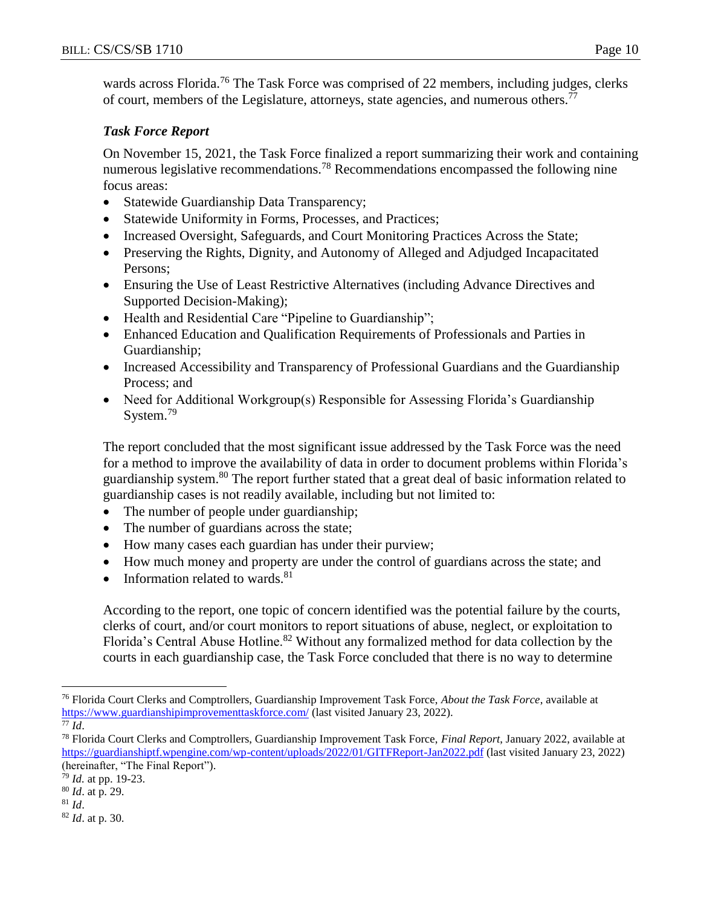wards across Florida.<sup>76</sup> The Task Force was comprised of 22 members, including judges, clerks of court, members of the Legislature, attorneys, state agencies, and numerous others.<sup>77</sup>

# *Task Force Report*

On November 15, 2021, the Task Force finalized a report summarizing their work and containing numerous legislative recommendations.<sup>78</sup> Recommendations encompassed the following nine focus areas:

- Statewide Guardianship Data Transparency;
- Statewide Uniformity in Forms, Processes, and Practices;
- Increased Oversight, Safeguards, and Court Monitoring Practices Across the State;
- Preserving the Rights, Dignity, and Autonomy of Alleged and Adjudged Incapacitated Persons;
- Ensuring the Use of Least Restrictive Alternatives (including Advance Directives and Supported Decision-Making);
- Health and Residential Care "Pipeline to Guardianship";
- Enhanced Education and Qualification Requirements of Professionals and Parties in Guardianship;
- Increased Accessibility and Transparency of Professional Guardians and the Guardianship Process; and
- Need for Additional Workgroup(s) Responsible for Assessing Florida's Guardianship System.<sup>79</sup>

The report concluded that the most significant issue addressed by the Task Force was the need for a method to improve the availability of data in order to document problems within Florida's guardianship system.<sup>80</sup> The report further stated that a great deal of basic information related to guardianship cases is not readily available, including but not limited to:

- The number of people under guardianship;
- The number of guardians across the state;
- How many cases each guardian has under their purview;
- How much money and property are under the control of guardians across the state; and
- Information related to wards. $81$

According to the report, one topic of concern identified was the potential failure by the courts, clerks of court, and/or court monitors to report situations of abuse, neglect, or exploitation to Florida's Central Abuse Hotline.<sup>82</sup> Without any formalized method for data collection by the courts in each guardianship case, the Task Force concluded that there is no way to determine

<sup>76</sup> Florida Court Clerks and Comptrollers, Guardianship Improvement Task Force, *About the Task Force*, available at <https://www.guardianshipimprovementtaskforce.com/> (last visited January 23, 2022).

 $\overline{77}$   $\overline{Id}$ .

<sup>78</sup> Florida Court Clerks and Comptrollers, Guardianship Improvement Task Force, *Final Report*, January 2022, available at <https://guardianshiptf.wpengine.com/wp-content/uploads/2022/01/GITFReport-Jan2022.pdf> (last visited January 23, 2022) (hereinafter, "The Final Report").

<sup>79</sup> *Id.* at pp. 19-23.

<sup>80</sup> *Id*. at p. 29.

<sup>81</sup> *Id*.

<sup>82</sup> *Id*. at p. 30.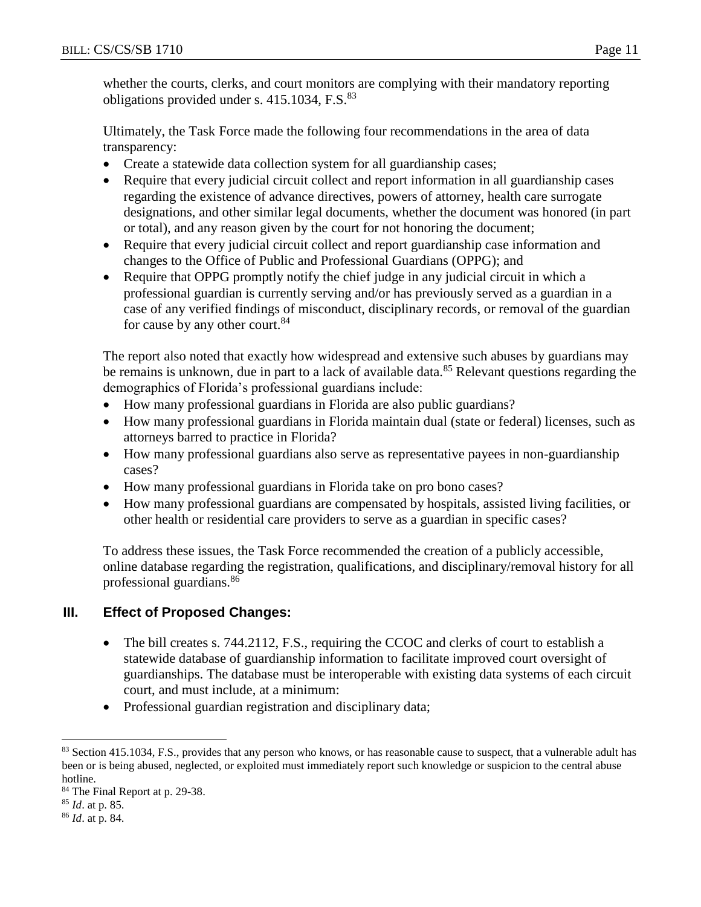whether the courts, clerks, and court monitors are complying with their mandatory reporting obligations provided under s. 415.1034, F.S.<sup>83</sup>

Ultimately, the Task Force made the following four recommendations in the area of data transparency:

- Create a statewide data collection system for all guardianship cases;
- Require that every judicial circuit collect and report information in all guardianship cases regarding the existence of advance directives, powers of attorney, health care surrogate designations, and other similar legal documents, whether the document was honored (in part or total), and any reason given by the court for not honoring the document;
- Require that every judicial circuit collect and report guardianship case information and changes to the Office of Public and Professional Guardians (OPPG); and
- Require that OPPG promptly notify the chief judge in any judicial circuit in which a professional guardian is currently serving and/or has previously served as a guardian in a case of any verified findings of misconduct, disciplinary records, or removal of the guardian for cause by any other court.<sup>84</sup>

The report also noted that exactly how widespread and extensive such abuses by guardians may be remains is unknown, due in part to a lack of available data.<sup>85</sup> Relevant questions regarding the demographics of Florida's professional guardians include:

- How many professional guardians in Florida are also public guardians?
- How many professional guardians in Florida maintain dual (state or federal) licenses, such as attorneys barred to practice in Florida?
- How many professional guardians also serve as representative payees in non-guardianship cases?
- How many professional guardians in Florida take on pro bono cases?
- How many professional guardians are compensated by hospitals, assisted living facilities, or other health or residential care providers to serve as a guardian in specific cases?

To address these issues, the Task Force recommended the creation of a publicly accessible, online database regarding the registration, qualifications, and disciplinary/removal history for all professional guardians.<sup>86</sup>

# **III. Effect of Proposed Changes:**

- The bill creates s. 744.2112, F.S., requiring the CCOC and clerks of court to establish a statewide database of guardianship information to facilitate improved court oversight of guardianships. The database must be interoperable with existing data systems of each circuit court, and must include, at a minimum:
- Professional guardian registration and disciplinary data;

 $\overline{a}$ <sup>83</sup> Section 415.1034, F.S., provides that any person who knows, or has reasonable cause to suspect, that a vulnerable adult has been or is being abused, neglected, or exploited must immediately report such knowledge or suspicion to the central abuse hotline.

<sup>&</sup>lt;sup>84</sup> The Final Report at p. 29-38.

<sup>85</sup> *Id*. at p. 85.

<sup>86</sup> *Id*. at p. 84.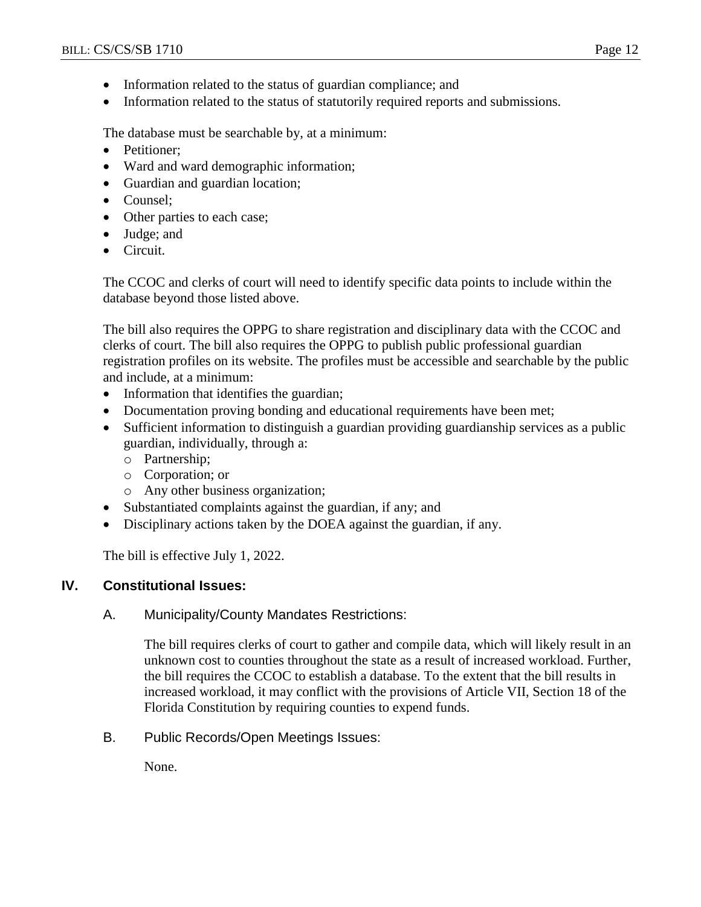- Information related to the status of guardian compliance; and
- Information related to the status of statutorily required reports and submissions.

The database must be searchable by, at a minimum:

- Petitioner:
- Ward and ward demographic information;
- Guardian and guardian location;
- Counsel:
- Other parties to each case;
- Judge; and
- Circuit.

The CCOC and clerks of court will need to identify specific data points to include within the database beyond those listed above.

The bill also requires the OPPG to share registration and disciplinary data with the CCOC and clerks of court. The bill also requires the OPPG to publish public professional guardian registration profiles on its website. The profiles must be accessible and searchable by the public and include, at a minimum:

- Information that identifies the guardian;
- Documentation proving bonding and educational requirements have been met;
- Sufficient information to distinguish a guardian providing guardianship services as a public guardian, individually, through a:
	- o Partnership;
	- o Corporation; or
	- o Any other business organization;
- Substantiated complaints against the guardian, if any; and
- Disciplinary actions taken by the DOEA against the guardian, if any.

The bill is effective July 1, 2022.

# **IV. Constitutional Issues:**

A. Municipality/County Mandates Restrictions:

The bill requires clerks of court to gather and compile data, which will likely result in an unknown cost to counties throughout the state as a result of increased workload. Further, the bill requires the CCOC to establish a database. To the extent that the bill results in increased workload, it may conflict with the provisions of Article VII, Section 18 of the Florida Constitution by requiring counties to expend funds.

B. Public Records/Open Meetings Issues:

None.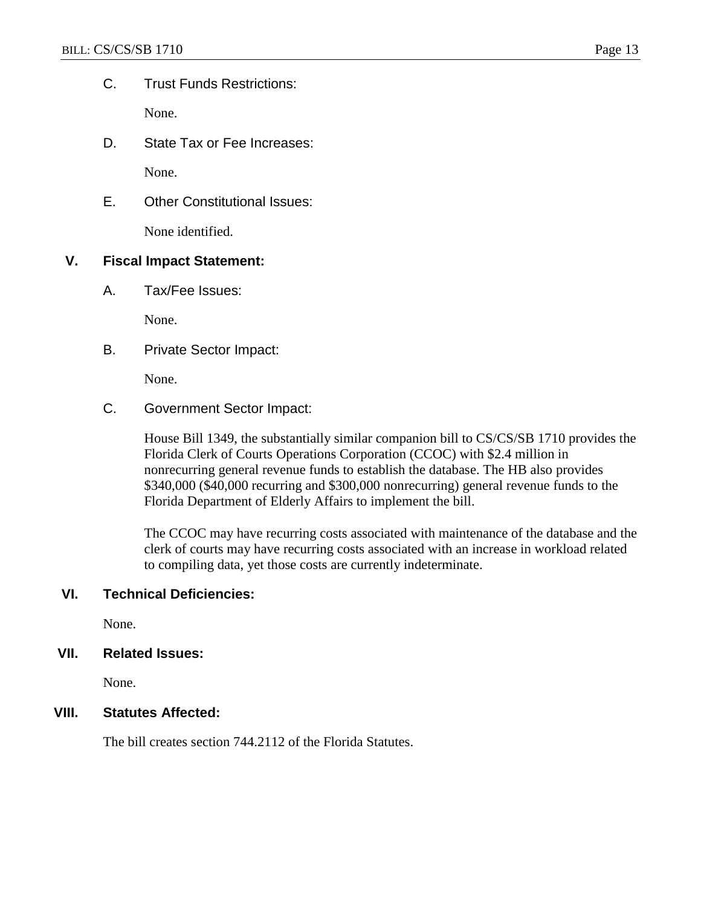C. Trust Funds Restrictions:

None.

D. State Tax or Fee Increases:

None.

E. Other Constitutional Issues:

None identified.

#### **V. Fiscal Impact Statement:**

A. Tax/Fee Issues:

None.

B. Private Sector Impact:

None.

C. Government Sector Impact:

House Bill 1349, the substantially similar companion bill to CS/CS/SB 1710 provides the Florida Clerk of Courts Operations Corporation (CCOC) with \$2.4 million in nonrecurring general revenue funds to establish the database. The HB also provides \$340,000 (\$40,000 recurring and \$300,000 nonrecurring) general revenue funds to the Florida Department of Elderly Affairs to implement the bill.

The CCOC may have recurring costs associated with maintenance of the database and the clerk of courts may have recurring costs associated with an increase in workload related to compiling data, yet those costs are currently indeterminate.

# **VI. Technical Deficiencies:**

None.

#### **VII. Related Issues:**

None.

#### **VIII. Statutes Affected:**

The bill creates section 744.2112 of the Florida Statutes.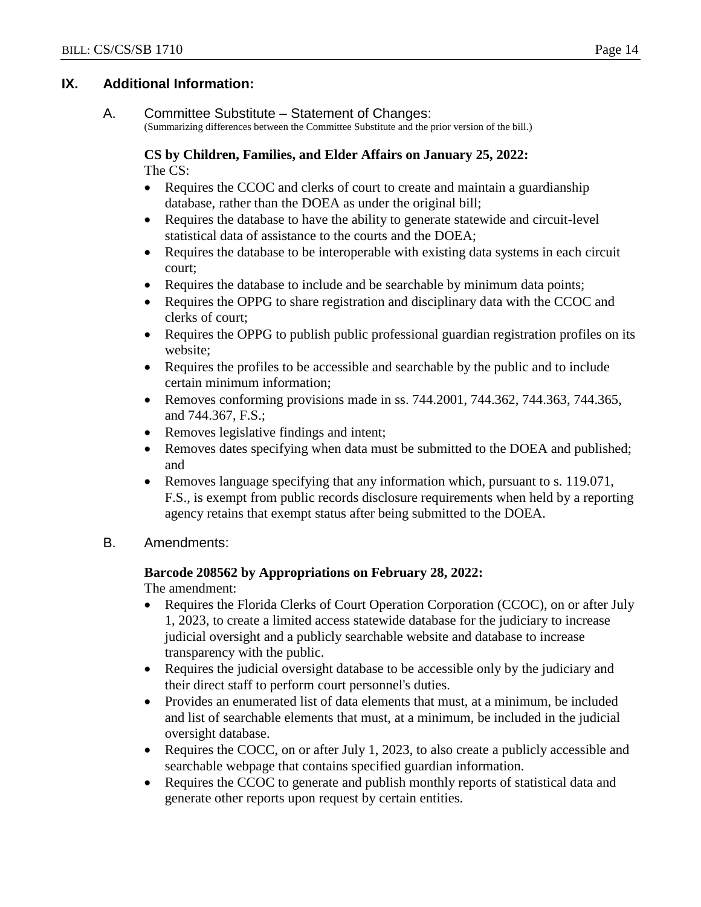#### **IX. Additional Information:**

#### A. Committee Substitute – Statement of Changes:

(Summarizing differences between the Committee Substitute and the prior version of the bill.)

#### **CS by Children, Families, and Elder Affairs on January 25, 2022:** The CS:

- Requires the CCOC and clerks of court to create and maintain a guardianship database, rather than the DOEA as under the original bill;
- Requires the database to have the ability to generate statewide and circuit-level statistical data of assistance to the courts and the DOEA;
- Requires the database to be interoperable with existing data systems in each circuit court;
- Requires the database to include and be searchable by minimum data points;
- Requires the OPPG to share registration and disciplinary data with the CCOC and clerks of court;
- Requires the OPPG to publish public professional guardian registration profiles on its website;
- Requires the profiles to be accessible and searchable by the public and to include certain minimum information;
- Removes conforming provisions made in ss.  $744.2001$ ,  $744.362$ ,  $744.363$ ,  $744.365$ , and 744.367, F.S.;
- Removes legislative findings and intent;
- Removes dates specifying when data must be submitted to the DOEA and published; and
- Removes language specifying that any information which, pursuant to s. 119.071, F.S., is exempt from public records disclosure requirements when held by a reporting agency retains that exempt status after being submitted to the DOEA.
- B. Amendments:

#### **Barcode 208562 by Appropriations on February 28, 2022:**

The amendment:

- Requires the Florida Clerks of Court Operation Corporation (CCOC), on or after July 1, 2023, to create a limited access statewide database for the judiciary to increase judicial oversight and a publicly searchable website and database to increase transparency with the public.
- Requires the judicial oversight database to be accessible only by the judiciary and their direct staff to perform court personnel's duties.
- Provides an enumerated list of data elements that must, at a minimum, be included and list of searchable elements that must, at a minimum, be included in the judicial oversight database.
- Requires the COCC, on or after July 1, 2023, to also create a publicly accessible and searchable webpage that contains specified guardian information.
- Requires the CCOC to generate and publish monthly reports of statistical data and generate other reports upon request by certain entities.